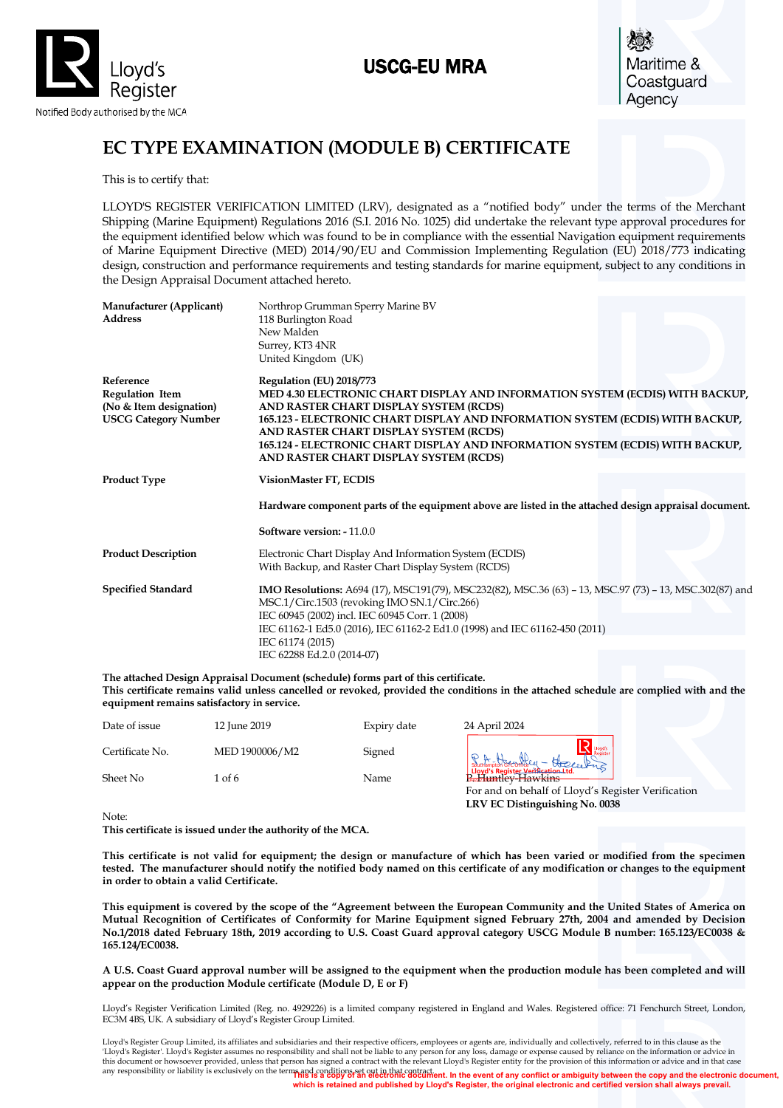

# USCG-EU MRA

Maritime & Coastguard Agency

# **EC TYPE EXAMINATION (MODULE B) CERTIFICATE**

This is to certify that:

LLOYD'S REGISTER VERIFICATION LIMITED (LRV), designated as a "notified body" under the terms of the Merchant Shipping (Marine Equipment) Regulations 2016 (S.I. 2016 No. 1025) did undertake the relevant type approval procedures for the equipment identified below which was found to be in compliance with the essential Navigation equipment requirements of Marine Equipment Directive (MED) 2014/90/EU and Commission Implementing Regulation (EU) 2018/773 indicating design, construction and performance requirements and testing standards for marine equipment, subject to any conditions in the Design Appraisal Document attached hereto.

| Manufacturer (Applicant)<br><b>Address</b>                                                    | Northrop Grumman Sperry Marine BV<br>118 Burlington Road<br>New Malden<br>Surrey, KT3 4NR<br>United Kingdom (UK)                                                                                                                                                                                                                                                                                            |
|-----------------------------------------------------------------------------------------------|-------------------------------------------------------------------------------------------------------------------------------------------------------------------------------------------------------------------------------------------------------------------------------------------------------------------------------------------------------------------------------------------------------------|
| Reference<br><b>Regulation Item</b><br>(No & Item designation)<br><b>USCG Category Number</b> | Regulation (EU) 2018/773<br>MED 4.30 ELECTRONIC CHART DISPLAY AND INFORMATION SYSTEM (ECDIS) WITH BACKUP,<br>AND RASTER CHART DISPLAY SYSTEM (RCDS)<br>165.123 - ELECTRONIC CHART DISPLAY AND INFORMATION SYSTEM (ECDIS) WITH BACKUP,<br>AND RASTER CHART DISPLAY SYSTEM (RCDS)<br>165.124 - ELECTRONIC CHART DISPLAY AND INFORMATION SYSTEM (ECDIS) WITH BACKUP,<br>AND RASTER CHART DISPLAY SYSTEM (RCDS) |
| <b>Product Type</b>                                                                           | VisionMaster FT, ECDIS                                                                                                                                                                                                                                                                                                                                                                                      |
|                                                                                               | Hardware component parts of the equipment above are listed in the attached design appraisal document.                                                                                                                                                                                                                                                                                                       |
|                                                                                               | Software version: - 11.0.0                                                                                                                                                                                                                                                                                                                                                                                  |
| <b>Product Description</b>                                                                    | Electronic Chart Display And Information System (ECDIS)<br>With Backup, and Raster Chart Display System (RCDS)                                                                                                                                                                                                                                                                                              |
| <b>Specified Standard</b>                                                                     | IMO Resolutions: A694 (17), MSC191(79), MSC232(82), MSC.36 (63) - 13, MSC.97 (73) - 13, MSC.302(87) and<br>MSC.1/Circ.1503 (revoking IMO SN.1/Circ.266)<br>IEC 60945 (2002) incl. IEC 60945 Corr. 1 (2008)<br>IEC 61162-1 Ed5.0 (2016), IEC 61162-2 Ed1.0 (1998) and IEC 61162-450 (2011)<br>IEC 61174 (2015)<br>IEC 62288 Ed.2.0 (2014-07)                                                                 |

**The attached Design Appraisal Document (schedule) forms part of this certificate. This certificate remains valid unless cancelled or revoked, provided the conditions in the attached schedule are complied with and the equipment remains satisfactory in service.**

| Date of issue   | 12 June 2019   | Expiry date | 24 April 2024                                                |
|-----------------|----------------|-------------|--------------------------------------------------------------|
| Certificate No. | MED 1900006/M2 | Signed      | Southampton of complex - these celans                        |
| Sheet No        | 1 of 6         | Name        | Lloyd's Register Verification Ltd.<br>Red: Lttp://ev-Hawkins |
|                 |                |             | For and on behalf of Lloyd's Register Verification           |

Note:

**This certificate is issued under the authority of the MCA.** 

**This certificate is not valid for equipment; the design or manufacture of which has been varied or modified from the specimen tested. The manufacturer should notify the notified body named on this certificate of any modification or changes to the equipment in order to obtain a valid Certificate.**

**LRV EC Distinguishing No. 0038**

**This equipment is covered by the scope of the "Agreement between the European Community and the United States of America on Mutual Recognition of Certificates of Conformity for Marine Equipment signed February 27th, 2004 and amended by Decision No.1/2018 dated February 18th, 2019 according to U.S. Coast Guard approval category USCG Module B number: 165.123/EC0038 & 165.124/EC0038.** 

**A U.S. Coast Guard approval number will be assigned to the equipment when the production module has been completed and will appear on the production Module certificate (Module D, E or F)**

Lloyd's Register Verification Limited (Reg. no. 4929226) is a limited company registered in England and Wales. Registered office: 71 Fenchurch Street, London, EC3M 4BS, UK. A subsidiary of Lloyd's Register Group Limited.

any responsibility or liability is exclusively on the terms and conditions set out in that contract. Lloyd's Register Group Limited, its affiliates and subsidiaries and their respective officers, employees or agents are, individually and collectively, referred to in this clause as the 'Lloyd's Register'. Lloyd's Register assumes no responsibility and shall not be liable to any person for any loss, damage or expense caused by reliance on the information or advice in<br>this document or howsoever provided, u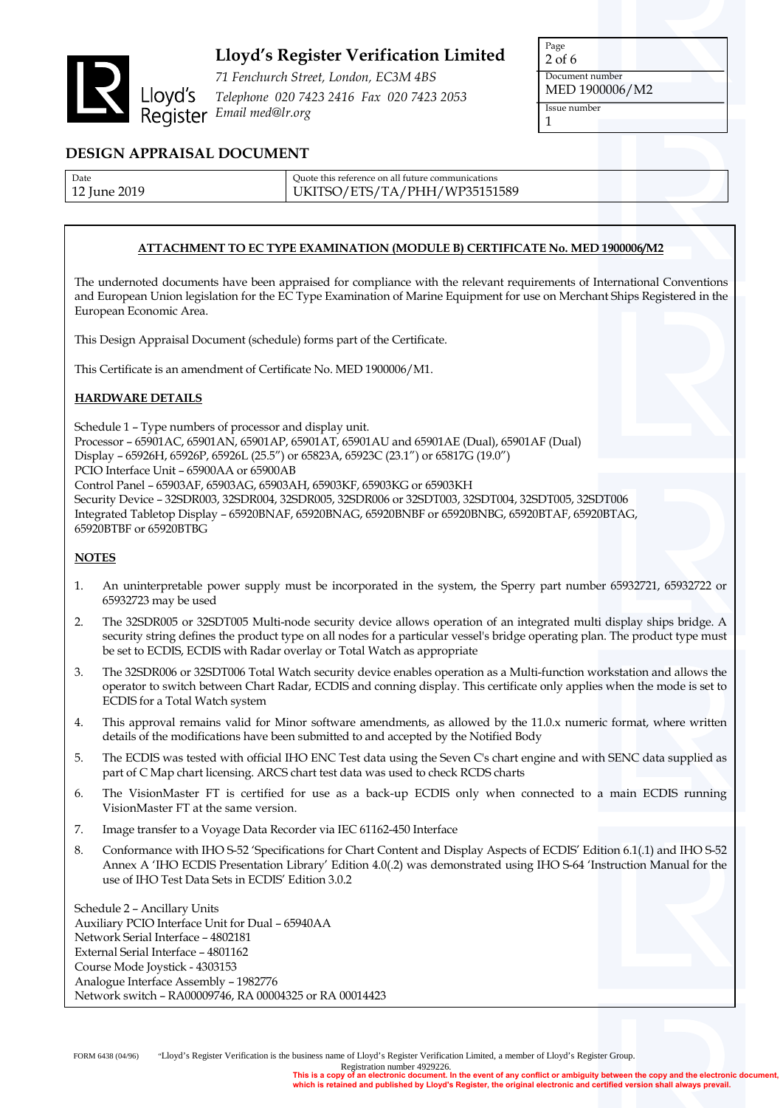

*71 Fenchurch Street, London, EC3M 4BS Telephone 020 7423 2416 Fax 020 7423 2053 Email med@lr.org*

Page 2 of 6 Document number MED 1900006/M2 Issue number 1

### **DESIGN APPRAISAL DOCUMENT**

| Date         | Ouote this reference on all future communications |
|--------------|---------------------------------------------------|
| 12 June 2019 | UKITSO/ETS/TA/PHH/WP35151589                      |

### **ATTACHMENT TO EC TYPE EXAMINATION (MODULE B) CERTIFICATE No. MED 1900006/M2**

The undernoted documents have been appraised for compliance with the relevant requirements of International Conventions and European Union legislation for the EC Type Examination of Marine Equipment for use on Merchant Ships Registered in the European Economic Area.

This Design Appraisal Document (schedule) forms part of the Certificate.

This Certificate is an amendment of Certificate No. MED 1900006/M1.

### **HARDWARE DETAILS**

Schedule 1 – Type numbers of processor and display unit. Processor – 65901AC, 65901AN, 65901AP, 65901AT, 65901AU and 65901AE (Dual), 65901AF (Dual) Display – 65926H, 65926P, 65926L (25.5") or 65823A, 65923C (23.1") or 65817G (19.0") PCIO Interface Unit – 65900AA or 65900AB Control Panel – 65903AF, 65903AG, 65903AH, 65903KF, 65903KG or 65903KH Security Device – 32SDR003, 32SDR004, 32SDR005, 32SDR006 or 32SDT003, 32SDT004, 32SDT005, 32SDT006 Integrated Tabletop Display – 65920BNAF, 65920BNAG, 65920BNBF or 65920BNBG, 65920BTAF, 65920BTAG, 65920BTBF or 65920BTBG

#### **NOTES**

- 1. An uninterpretable power supply must be incorporated in the system, the Sperry part number 65932721, 65932722 or 65932723 may be used
- 2. The 32SDR005 or 32SDT005 Multi-node security device allows operation of an integrated multi display ships bridge. A security string defines the product type on all nodes for a particular vessel's bridge operating plan. The product type must be set to ECDIS, ECDIS with Radar overlay or Total Watch as appropriate
- 3. The 32SDR006 or 32SDT006 Total Watch security device enables operation as a Multi-function workstation and allows the operator to switch between Chart Radar, ECDIS and conning display. This certificate only applies when the mode is set to ECDIS for a Total Watch system
- 4. This approval remains valid for Minor software amendments, as allowed by the 11.0.x numeric format, where written details of the modifications have been submitted to and accepted by the Notified Body
- 5. The ECDIS was tested with official IHO ENC Test data using the Seven C's chart engine and with SENC data supplied as part of C Map chart licensing. ARCS chart test data was used to check RCDS charts
- 6. The VisionMaster FT is certified for use as a back-up ECDIS only when connected to a main ECDIS running VisionMaster FT at the same version.
- 7. Image transfer to a Voyage Data Recorder via IEC 61162-450 Interface
- 8. Conformance with IHO S-52 'Specifications for Chart Content and Display Aspects of ECDIS' Edition 6.1(.1) and IHO S-52 Annex A 'IHO ECDIS Presentation Library' Edition 4.0(.2) was demonstrated using IHO S-64 'Instruction Manual for the use of IHO Test Data Sets in ECDIS' Edition 3.0.2

Schedule 2 – Ancillary Units Auxiliary PCIO Interface Unit for Dual – 65940AA Network Serial Interface – 4802181 External Serial Interface – 4801162 Course Mode Joystick - 4303153 Analogue Interface Assembly – 1982776 Network switch – RA00009746, RA 00004325 or RA 00014423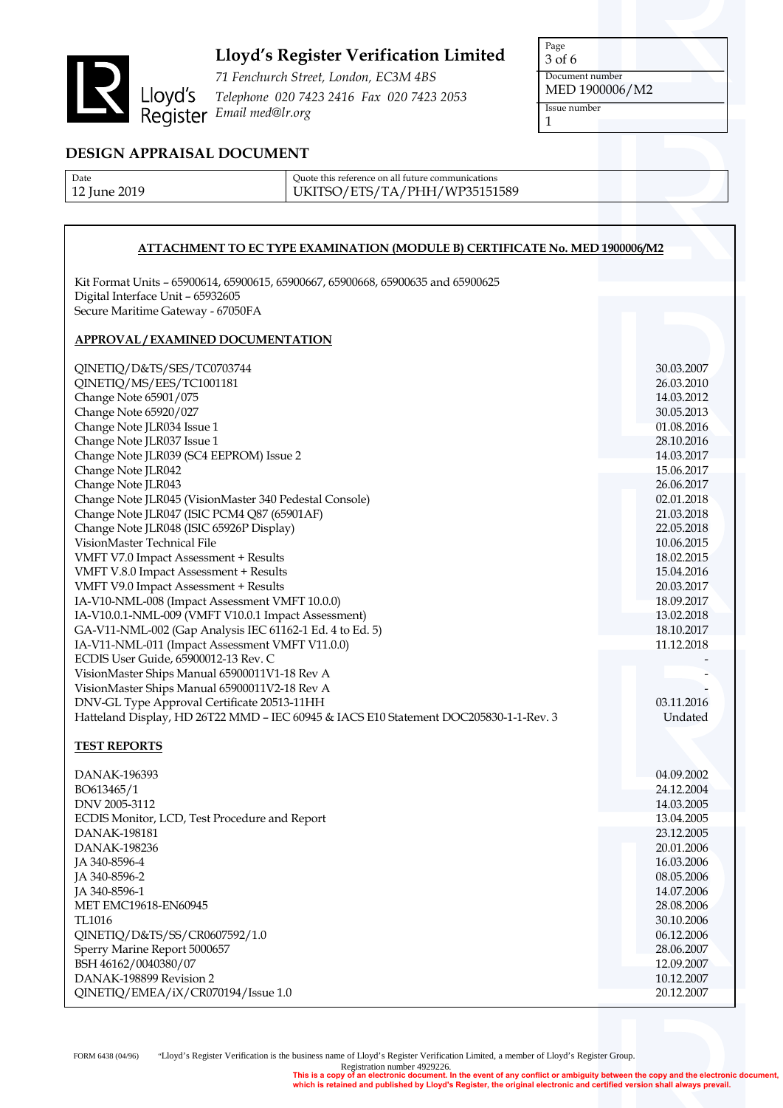

*71 Fenchurch Street, London, EC3M 4BS Telephone 020 7423 2416 Fax 020 7423 2053* Email media<br>
<sup>71</sup> Fenchurch Stree<br>
Lloyd's Telephone 020 742<br>
Register Email med@lr.org

Page 3 of 6 Document number MED 1900006/M2 Issue number 1

## **DESIGN APPRAISAL DOCUMENT**

| Date                    | Ouote this reference on all future communications |
|-------------------------|---------------------------------------------------|
| <sup>12</sup> June 2019 | UKITSO/ETS/TA/PHH/WP35151589                      |

#### **ATTACHMENT TO EC TYPE EXAMINATION (MODULE B) CERTIFICATE No. MED 1900006/M2**

Kit Format Units – 65900614, 65900615, 65900667, 65900668, 65900635 and 65900625 Digital Interface Unit – 65932605 Secure Maritime Gateway - 67050FA

### **APPROVAL / EXAMINED DOCUMENTATION**

| QINETIQ/D&TS/SES/TC0703744                                                            | 30.03.2007 |
|---------------------------------------------------------------------------------------|------------|
| QINETIQ/MS/EES/TC1001181                                                              | 26.03.2010 |
| Change Note 65901/075                                                                 | 14.03.2012 |
| Change Note 65920/027                                                                 | 30.05.2013 |
| Change Note JLR034 Issue 1                                                            | 01.08.2016 |
| Change Note JLR037 Issue 1                                                            | 28.10.2016 |
| Change Note JLR039 (SC4 EEPROM) Issue 2                                               | 14.03.2017 |
| Change Note JLR042                                                                    | 15.06.2017 |
| Change Note JLR043                                                                    | 26.06.2017 |
| Change Note JLR045 (VisionMaster 340 Pedestal Console)                                | 02.01.2018 |
| Change Note JLR047 (ISIC PCM4 Q87 (65901AF)                                           | 21.03.2018 |
| Change Note JLR048 (ISIC 65926P Display)                                              | 22.05.2018 |
| VisionMaster Technical File                                                           | 10.06.2015 |
| VMFT V7.0 Impact Assessment + Results                                                 | 18.02.2015 |
| VMFT V.8.0 Impact Assessment + Results                                                | 15.04.2016 |
| VMFT V9.0 Impact Assessment + Results                                                 | 20.03.2017 |
| IA-V10-NML-008 (Impact Assessment VMFT 10.0.0)                                        | 18.09.2017 |
| IA-V10.0.1-NML-009 (VMFT V10.0.1 Impact Assessment)                                   | 13.02.2018 |
| GA-V11-NML-002 (Gap Analysis IEC 61162-1 Ed. 4 to Ed. 5)                              | 18.10.2017 |
| IA-V11-NML-011 (Impact Assessment VMFT V11.0.0)                                       | 11.12.2018 |
| ECDIS User Guide, 65900012-13 Rev. C                                                  |            |
| VisionMaster Ships Manual 65900011V1-18 Rev A                                         |            |
| VisionMaster Ships Manual 65900011V2-18 Rev A                                         |            |
| DNV-GL Type Approval Certificate 20513-11HH                                           | 03.11.2016 |
| Hatteland Display, HD 26T22 MMD - IEC 60945 & IACS E10 Statement DOC205830-1-1-Rev. 3 | Undated    |
|                                                                                       |            |
| <b>TEST REPORTS</b>                                                                   |            |
| DANAK-196393                                                                          | 04.09.2002 |
| BO613465/1                                                                            | 24.12.2004 |
| DNV 2005-3112                                                                         | 14.03.2005 |
| ECDIS Monitor, LCD, Test Procedure and Report                                         | 13.04.2005 |
| DANAK-198181                                                                          | 23.12.2005 |
| DANAK-198236                                                                          | 20.01.2006 |
| JA 340-8596-4                                                                         | 16.03.2006 |
| JA 340-8596-2                                                                         | 08.05.2006 |
| JA 340-8596-1                                                                         | 14.07.2006 |
| <b>MET EMC19618-EN60945</b>                                                           | 28.08.2006 |
| <b>TL1016</b>                                                                         | 30.10.2006 |
| QINETIQ/D&TS/SS/CR0607592/1.0                                                         | 06.12.2006 |
| Sperry Marine Report 5000657                                                          | 28.06.2007 |
| BSH 46162/0040380/07                                                                  | 12.09.2007 |
| DANAK-198899 Revision 2                                                               | 10.12.2007 |

QINETIQ/EMEA/iX/CR070194/Issue 1.0 20.12.2007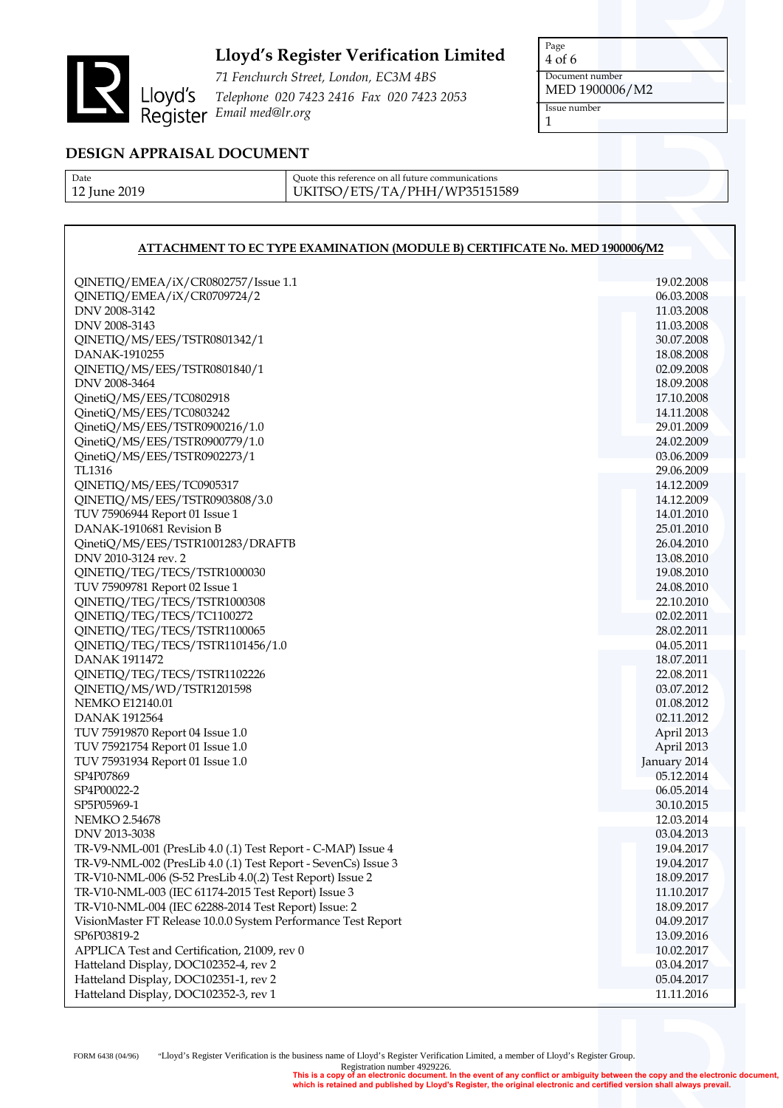

*71 Fenchurch Street, London, EC3M 4BS Telephone 020 7423 2416 Fax 020 7423 2053 Email med@lr.org*

Page 4 of 6 Document number MED 1900006/M2 Issue number 1

## **DESIGN APPRAISAL DOCUMENT**

| Date         |
|--------------|
| 12 June 2019 |

Quote this reference on all future communications UKITSO/ETS/TA/PHH/WP35151589

### **ATTACHMENT TO EC TYPE EXAMINATION (MODULE B) CERTIFICATE No. MED 1900006/M2**

| QINETIQ/EMEA/iX/CR0802757/Issue 1.1                            | 19.02.2008   |
|----------------------------------------------------------------|--------------|
| QINETIQ/EMEA/iX/CR0709724/2                                    | 06.03.2008   |
| DNV 2008-3142                                                  | 11.03.2008   |
| DNV 2008-3143                                                  | 11.03.2008   |
| QINETIQ/MS/EES/TSTR0801342/1                                   | 30.07.2008   |
| DANAK-1910255                                                  | 18.08.2008   |
| QINETIQ/MS/EES/TSTR0801840/1                                   | 02.09.2008   |
| DNV 2008-3464                                                  | 18.09.2008   |
| QinetiQ/MS/EES/TC0802918                                       | 17.10.2008   |
| QinetiQ/MS/EES/TC0803242                                       | 14.11.2008   |
| QinetiQ/MS/EES/TSTR0900216/1.0                                 | 29.01.2009   |
| QinetiQ/MS/EES/TSTR0900779/1.0                                 | 24.02.2009   |
| QinetiQ/MS/EES/TSTR0902273/1                                   | 03.06.2009   |
| TL1316                                                         | 29.06.2009   |
| QINETIQ/MS/EES/TC0905317                                       | 14.12.2009   |
| QINETIQ/MS/EES/TSTR0903808/3.0                                 | 14.12.2009   |
| TUV 75906944 Report 01 Issue 1                                 | 14.01.2010   |
| DANAK-1910681 Revision B                                       | 25.01.2010   |
| QinetiQ/MS/EES/TSTR1001283/DRAFTB                              | 26.04.2010   |
| DNV 2010-3124 rev. 2                                           | 13.08.2010   |
| QINETIQ/TEG/TECS/TSTR1000030                                   | 19.08.2010   |
| TUV 75909781 Report 02 Issue 1                                 | 24.08.2010   |
| QINETIQ/TEG/TECS/TSTR1000308                                   | 22.10.2010   |
| QINETIQ/TEG/TECS/TC1100272                                     | 02.02.2011   |
| QINETIQ/TEG/TECS/TSTR1100065                                   | 28.02.2011   |
| QINETIQ/TEG/TECS/TSTR1101456/1.0                               | 04.05.2011   |
| <b>DANAK 1911472</b>                                           | 18.07.2011   |
| QINETIQ/TEG/TECS/TSTR1102226                                   | 22.08.2011   |
| QINETIQ/MS/WD/TSTR1201598                                      | 03.07.2012   |
| <b>NEMKO E12140.01</b>                                         | 01.08.2012   |
| <b>DANAK 1912564</b>                                           | 02.11.2012   |
| TUV 75919870 Report 04 Issue 1.0                               | April 2013   |
| TUV 75921754 Report 01 Issue 1.0                               | April 2013   |
| TUV 75931934 Report 01 Issue 1.0                               | January 2014 |
| SP4P07869                                                      | 05.12.2014   |
| SP4P00022-2                                                    | 06.05.2014   |
| SP5P05969-1                                                    | 30.10.2015   |
| NEMKO 2.54678                                                  | 12.03.2014   |
| DNV 2013-3038                                                  | 03.04.2013   |
| TR-V9-NML-001 (PresLib 4.0 (.1) Test Report - C-MAP) Issue 4   | 19.04.2017   |
| TR-V9-NML-002 (PresLib 4.0 (.1) Test Report - SevenCs) Issue 3 | 19.04.2017   |
| TR-V10-NML-006 (S-52 PresLib 4.0(.2) Test Report) Issue 2      | 18.09.2017   |
| TR-V10-NML-003 (IEC 61174-2015 Test Report) Issue 3            | 11.10.2017   |
| TR-V10-NML-004 (IEC 62288-2014 Test Report) Issue: 2           | 18.09.2017   |
| VisionMaster FT Release 10.0.0 System Performance Test Report  | 04.09.2017   |
| SP6P03819-2                                                    | 13.09.2016   |
| APPLICA Test and Certification, 21009, rev 0                   | 10.02.2017   |
| Hatteland Display, DOC102352-4, rev 2                          | 03.04.2017   |
| Hatteland Display, DOC102351-1, rev 2                          | 05.04.2017   |
| Hatteland Display, DOC102352-3, rev 1                          | 11.11.2016   |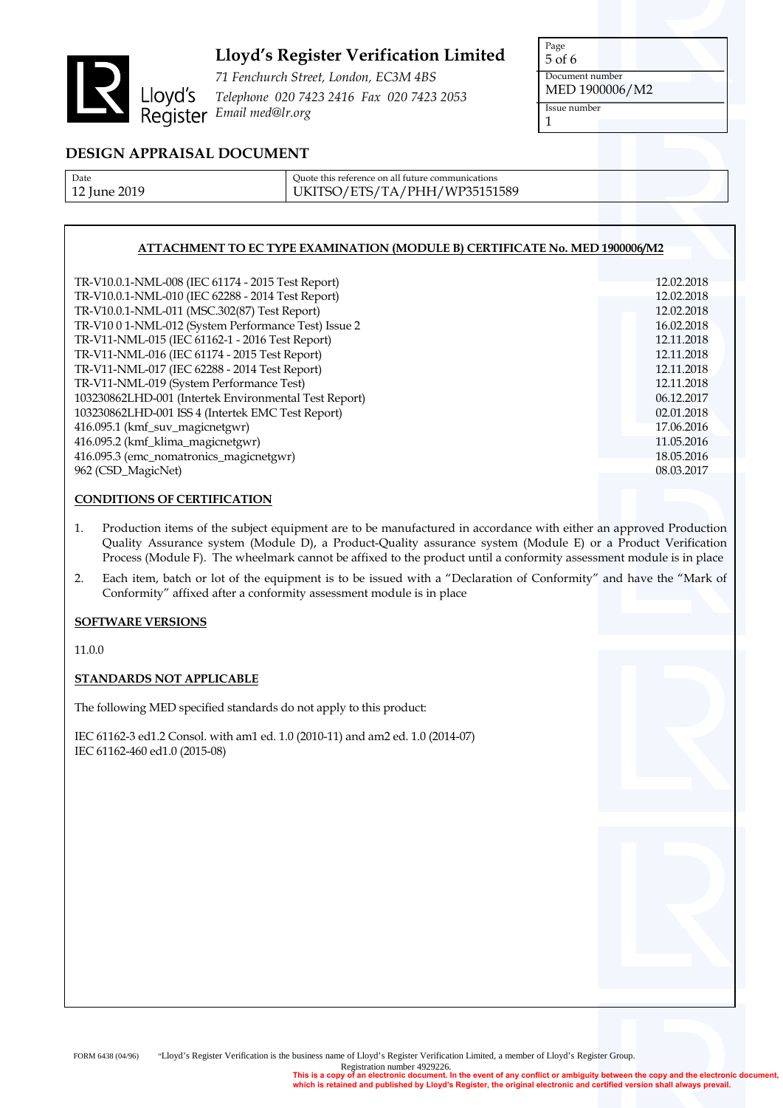

*71 Fenchurch Street, London, EC3M 4BS Telephone 020 7423 2416 Fax 020 7423 2053 Email Prencharch Street*<br>Email med@lr.org<br>Register Email med@lr.org

Page 5 of 6 Document number MED 1900006/M2 Issue number 1

## **DESIGN APPRAISAL DOCUMENT**

| Date         |  |
|--------------|--|
| 12 June 2019 |  |

Quote this reference on all future communications UKITSO/ETS/TA/PHH/WP35151589

### **ATTACHMENT TO EC TYPE EXAMINATION (MODULE B) CERTIFICATE No. MED 1900006/M2**

| TR-V10.0.1-NML-008 (IEC 61174 - 2015 Test Report)     | 12.02.2018 |
|-------------------------------------------------------|------------|
| TR-V10.0.1-NML-010 (IEC 62288 - 2014 Test Report)     | 12.02.2018 |
| TR-V10.0.1-NML-011 (MSC.302(87) Test Report)          | 12.02.2018 |
| TR-V10 0 1-NML-012 (System Performance Test) Issue 2  | 16.02.2018 |
| TR-V11-NML-015 (IEC 61162-1 - 2016 Test Report)       | 12.11.2018 |
| TR-V11-NML-016 (IEC 61174 - 2015 Test Report)         | 12.11.2018 |
| TR-V11-NML-017 (IEC 62288 - 2014 Test Report)         | 12.11.2018 |
| TR-V11-NML-019 (System Performance Test)              | 12.11.2018 |
| 103230862LHD-001 (Intertek Environmental Test Report) | 06.12.2017 |
| 103230862LHD-001 ISS 4 (Intertek EMC Test Report)     | 02.01.2018 |
| 416.095.1 (kmf_suv_magicnetgwr)                       | 17.06.2016 |
| 416.095.2 (kmf_klima_magicnetgwr)                     | 11.05.2016 |
| 416.095.3 (emc_nomatronics_magicnetgwr)               | 18.05.2016 |
| 962 (CSD_MagicNet)                                    | 08.03.2017 |
|                                                       |            |

### **CONDITIONS OF CERTIFICATION**

1. Production items of the subject equipment are to be manufactured in accordance with either an approved Production Quality Assurance system (Module D), a Product-Quality assurance system (Module E) or a Product Verification Process (Module F). The wheelmark cannot be affixed to the product until a conformity assessment module is in place

2. Each item, batch or lot of the equipment is to be issued with a "Declaration of Conformity" and have the "Mark of Conformity" affixed after a conformity assessment module is in place

#### **SOFTWARE VERSIONS**

11.0.0

#### **STANDARDS NOT APPLICABLE**

The following MED specified standards do not apply to this product:

IEC 61162-3 ed1.2 Consol. with am1 ed. 1.0 (2010-11) and am2 ed. 1.0 (2014-07) IEC 61162-460 ed1.0 (2015-08)